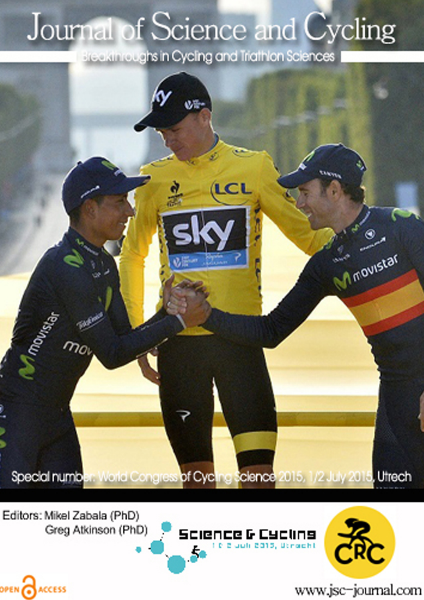## Journal of Science and Cycling

Breakthroughs in Cycling and Triathlon Sciences



Editors: Mikel Zabala (PhD) Greg Atkinson (PhD)

OPEN CACCESS





www.jsc-journal.com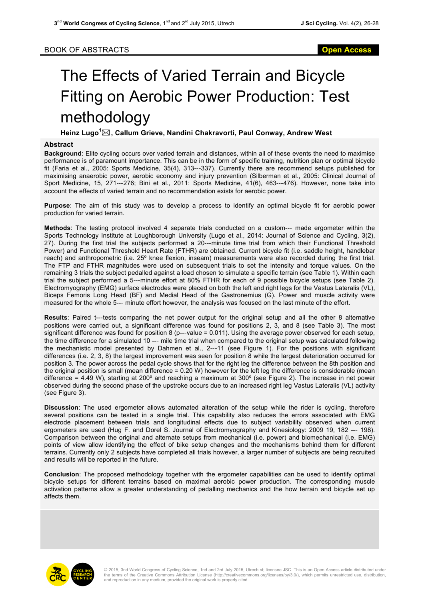## The Effects of Varied Terrain and Bicycle Fitting on Aerobic Power Production: Test methodology

**Heinz Lugo<sup>1</sup>** \***, Callum Grieve, Nandini Chakravorti, Paul Conway, Andrew West**

## **Abstract**

**Background**: Elite cycling occurs over varied terrain and distances, within all of these events the need to maximise performance is of paramount importance. This can be in the form of specific training, nutrition plan or optimal bicycle fit (Faria et al., 2005: Sports Medicine, 35(4), 313---337). Currently there are recommend setups published for maximising anaerobic power, aerobic economy and injury prevention (Silberman et al., 2005: Clinical Journal of Sport Medicine, 15, 271--**‐**276; Bini et al., 2011: Sports Medicine, 41(6), 463--**‐**476). However, none take into account the effects of varied terrain and no recommendation exists for aerobic power.

**Purpose**: The aim of this study was to develop a process to identify an optimal bicycle fit for aerobic power production for varied terrain.

**Methods**: The testing protocol involved 4 separate trials conducted on a custom--**‐** made ergometer within the Sports Technology Institute at Loughborough University (Lugo et al., 2014: Journal of Science and Cycling, 3(2), 27). During the first trial the subjects performed a 20--**‐**minute time trial from which their Functional Threshold Power) and Functional Threshold Heart Rate (FTHR) are obtained. Current bicycle fit (i.e. saddle height, handlebar reach) and anthropometric (i.e. 25º knee flexion, inseam) measurements were also recorded during the first trial. The FTP and FTHR magnitudes were used on subsequent trials to set the intensity and torque values. On the remaining 3 trials the subject pedalled against a load chosen to simulate a specific terrain (see Table 1). Within each trial the subject performed a 5--**‐**minute effort at 80% FTHR for each of 9 possible bicycle setups (see Table 2). Electromyography (EMG) surface electrodes were placed on both the left and right legs for the Vastus Lateralis (VL), Biceps Femoris Long Head (BF) and Medial Head of the Gastronemius (G). Power and muscle activity were measured for the whole 5--**‐** minute effort however, the analysis was focused on the last minute of the effort.

**Results**: Paired t--**‐**tests comparing the net power output for the original setup and all the other 8 alternative positions were carried out, a significant difference was found for positions 2, 3, and 8 (see Table 3). The most significant difference was found for position 8 (p---value = 0.011). Using the average power observed for each setup, the time difference for a simulated 10 --**‐** mile time trial when compared to the original setup was calculated following the mechanistic model presented by Dahmen et al., 2--**‐**11 (see Figure 1). For the positions with significant differences (i.e. 2, 3, 8) the largest improvement was seen for position 8 while the largest deterioration occurred for position 3. The power across the pedal cycle shows that for the right leg the difference between the 8th position and the original position is small (mean difference = 0.20 W) however for the left leg the difference is considerable (mean difference = 4.49 W), starting at 200º and reaching a maximum at 300º (see Figure 2). The increase in net power observed during the second phase of the upstroke occurs due to an increased right leg Vastus Lateralis (VL) activity (see Figure 3).

**Discussion**: The used ergometer allows automated alteration of the setup while the rider is cycling, therefore several positions can be tested in a single trial. This capability also reduces the errors associated with EMG electrode placement between trials and longitudinal effects due to subject variability observed when current ergometers are used (Hug F. and Dorel S. Journal of Electromyography and Kinesiology: 2009 19, 182 --**‐** 198). Comparison between the original and alternate setups from mechanical (i.e. power) and biomechanical (i.e. EMG) points of view allow identifying the effect of bike setup changes and the mechanisms behind them for different terrains. Currently only 2 subjects have completed all trials however, a larger number of subjects are being recruited and results will be reported in the future.

**Conclusion**: The proposed methodology together with the ergometer capabilities can be used to identify optimal bicycle setups for different terrains based on maximal aerobic power production. The corresponding muscle activation patterns allow a greater understanding of pedalling mechanics and the how terrain and bicycle set up affects them.

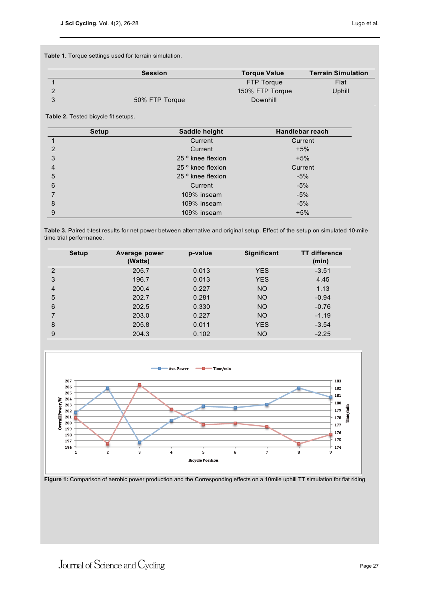**Table 1.** Torque settings used for terrain simulation.

| <b>Session</b> | <b>Torque Value</b> | <b>Terrain Simulation</b> |
|----------------|---------------------|---------------------------|
|                | <b>FTP Torque</b>   | Flat                      |
|                | 150% FTP Torque     | Uphill                    |
| 50% FTP Torque | <b>Downhill</b>     |                           |

**Table 2.** Tested bicycle fit setups.

| <b>Setup</b> | Saddle height     | <b>Handlebar reach</b> |
|--------------|-------------------|------------------------|
|              | Current           | Current                |
| 2            | Current           | $+5%$                  |
| 3            | 25 ° knee flexion | $+5%$                  |
| 4            | 25 ° knee flexion | Current                |
| 5            | 25 ° knee flexion | $-5%$                  |
| 6            | Current           | $-5%$                  |
| 7            | 109% inseam       | $-5%$                  |
| 8            | 109% inseam       | $-5%$                  |
| 9            | 109% inseam       | $+5%$                  |

Table 3. Paired t-test results for net power between alternative and original setup. Effect of the setup on simulated 10-mile time trial performance.

| <b>Setup</b>   | Average power<br>(Watts) | p-value | <b>Significant</b> | <b>TT</b> difference<br>(min) |
|----------------|--------------------------|---------|--------------------|-------------------------------|
| $\mathcal{P}$  | 205.7                    | 0.013   | <b>YES</b>         | $-3.51$                       |
| 3              | 196.7                    | 0.013   | <b>YES</b>         | 4.45                          |
| $\overline{4}$ | 200.4                    | 0.227   | <b>NO</b>          | 1.13                          |
| 5              | 202.7                    | 0.281   | <b>NO</b>          | $-0.94$                       |
| 6              | 202.5                    | 0.330   | <b>NO</b>          | $-0.76$                       |
| 7              | 203.0                    | 0.227   | <b>NO</b>          | $-1.19$                       |
| 8              | 205.8                    | 0.011   | <b>YES</b>         | $-3.54$                       |
| 9              | 204.3                    | 0.102   | <b>NO</b>          | $-2.25$                       |